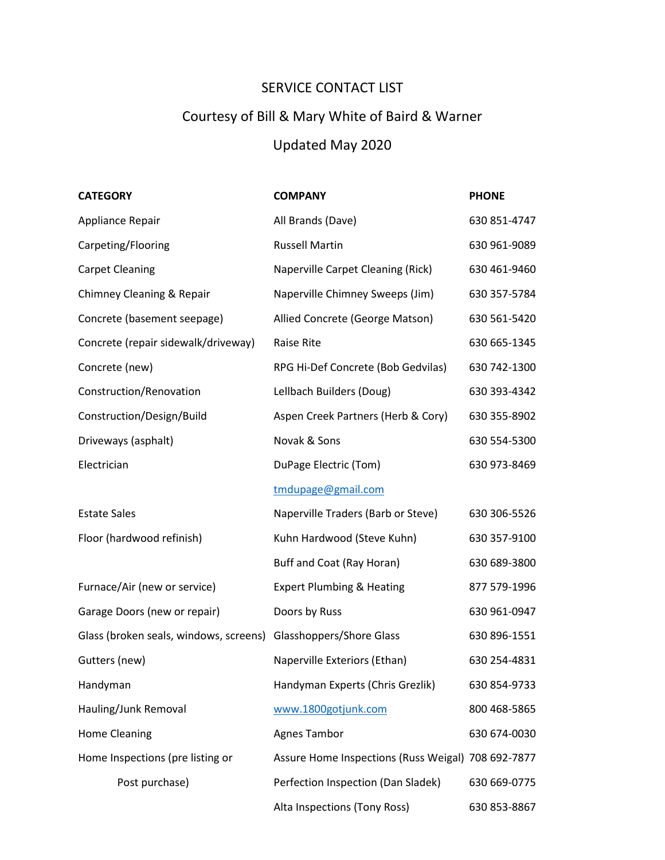## SERVICE CONTACT LIST

## Courtesy of Bill & Mary White of Baird & Warner

## Updated May 2020

| <b>CATEGORY</b>                        | <b>COMPANY</b>                                     | <b>PHONE</b> |
|----------------------------------------|----------------------------------------------------|--------------|
| Appliance Repair                       | All Brands (Dave)                                  | 630 851-4747 |
| Carpeting/Flooring                     | <b>Russell Martin</b>                              | 630 961-9089 |
| <b>Carpet Cleaning</b>                 | Naperville Carpet Cleaning (Rick)                  | 630 461-9460 |
| Chimney Cleaning & Repair              | Naperville Chimney Sweeps (Jim)                    | 630 357-5784 |
| Concrete (basement seepage)            | Allied Concrete (George Matson)                    | 630 561-5420 |
| Concrete (repair sidewalk/driveway)    | Raise Rite                                         | 630 665-1345 |
| Concrete (new)                         | RPG Hi-Def Concrete (Bob Gedvilas)                 | 630 742-1300 |
| Construction/Renovation                | Lellbach Builders (Doug)                           | 630 393-4342 |
| Construction/Design/Build              | Aspen Creek Partners (Herb & Cory)                 | 630 355-8902 |
| Driveways (asphalt)                    | Novak & Sons                                       | 630 554-5300 |
| Electrician                            | DuPage Electric (Tom)                              | 630 973-8469 |
|                                        | tmdupage@gmail.com                                 |              |
| <b>Estate Sales</b>                    | Naperville Traders (Barb or Steve)                 | 630 306-5526 |
| Floor (hardwood refinish)              | Kuhn Hardwood (Steve Kuhn)                         | 630 357-9100 |
|                                        | Buff and Coat (Ray Horan)                          | 630 689-3800 |
| Furnace/Air (new or service)           | <b>Expert Plumbing &amp; Heating</b>               | 877 579-1996 |
| Garage Doors (new or repair)           | Doors by Russ                                      | 630 961-0947 |
| Glass (broken seals, windows, screens) | Glasshoppers/Shore Glass                           | 630 896-1551 |
| Gutters (new)                          | Naperville Exteriors (Ethan)                       | 630 254-4831 |
| Handyman                               | Handyman Experts (Chris Grezlik)                   | 630 854-9733 |
| Hauling/Junk Removal                   | www.1800gotjunk.com                                | 800 468-5865 |
| <b>Home Cleaning</b>                   | <b>Agnes Tambor</b>                                | 630 674-0030 |
| Home Inspections (pre listing or       | Assure Home Inspections (Russ Weigal) 708 692-7877 |              |
| Post purchase)                         | Perfection Inspection (Dan Sladek)                 | 630 669-0775 |
|                                        | Alta Inspections (Tony Ross)                       | 630 853-8867 |